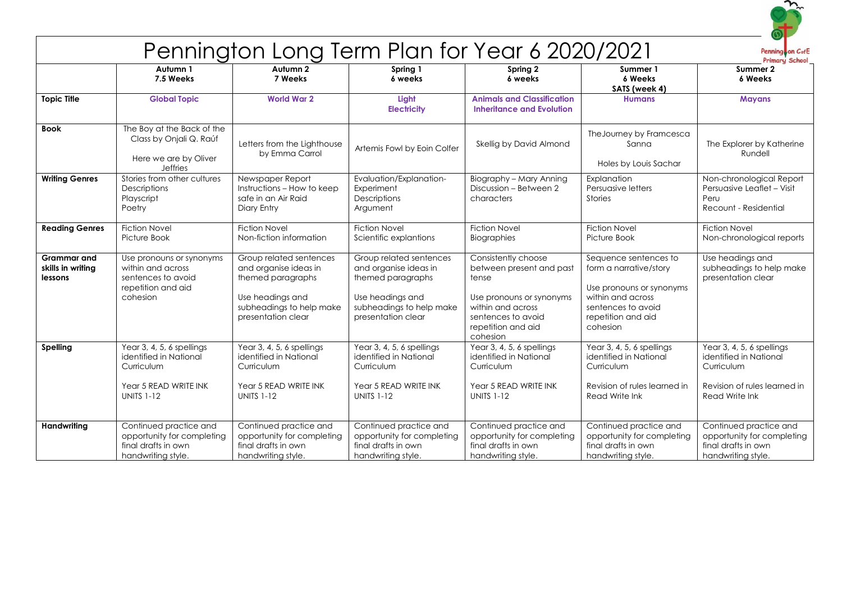

## Pennington Long Term Plan for Year 6 2020/2021

Penning on CofE

|                                                    | י טוייש ייטואַיייייייט י                                                                                        |                                                                                                                                             |                                                                                                                                             |                                                                                                                                                                   |                                                                                                                                                          |                                                                                                                     |
|----------------------------------------------------|-----------------------------------------------------------------------------------------------------------------|---------------------------------------------------------------------------------------------------------------------------------------------|---------------------------------------------------------------------------------------------------------------------------------------------|-------------------------------------------------------------------------------------------------------------------------------------------------------------------|----------------------------------------------------------------------------------------------------------------------------------------------------------|---------------------------------------------------------------------------------------------------------------------|
|                                                    | Autumn 1<br>7.5 Weeks                                                                                           | Autumn 2<br>7 Weeks                                                                                                                         | Spring 1<br>6 weeks                                                                                                                         | Spring 2<br>6 weeks                                                                                                                                               | Summer 1<br>6 Weeks<br>SATS (week 4)                                                                                                                     | Summer 2<br>6 Weeks                                                                                                 |
| <b>Topic Title</b>                                 | <b>Global Topic</b>                                                                                             | <b>World War 2</b>                                                                                                                          | Light<br><b>Electricity</b>                                                                                                                 | <b>Animals and Classification</b><br><b>Inheritance and Evolution</b>                                                                                             | <b>Humans</b>                                                                                                                                            | <b>Mayans</b>                                                                                                       |
| <b>Book</b>                                        | The Boy at the Back of the<br>Class by Onjali Q. Raúf<br>Here we are by Oliver<br><b>Jeffries</b>               | Letters from the Lighthouse<br>by Emma Carrol                                                                                               | Artemis Fowl by Eoin Colfer                                                                                                                 | Skellig by David Almond                                                                                                                                           | The Journey by Framcesca<br>Sanna<br>Holes by Louis Sachar                                                                                               | The Explorer by Katherine<br>Rundell                                                                                |
| <b>Writing Genres</b>                              | Stories from other cultures<br>Descriptions<br>Playscript<br>Poetry                                             | Newspaper Report<br>Instructions - How to keep<br>safe in an Air Raid<br>Diary Entry                                                        | Evaluation/Explanation-<br>Experiment<br>Descriptions<br>Argument                                                                           | Biography - Mary Anning<br>Discussion - Between 2<br>characters                                                                                                   | Explanation<br>Persuasive letters<br><b>Stories</b>                                                                                                      | Non-chronological Report<br>Persuasive Leaflet - Visit<br>Peru<br>Recount - Residential                             |
| <b>Reading Genres</b>                              | <b>Fiction Novel</b><br>Picture Book                                                                            | <b>Fiction Novel</b><br>Non-fiction information                                                                                             | <b>Fiction Novel</b><br>Scientific explantions                                                                                              | <b>Fiction Novel</b><br>Biographies                                                                                                                               | <b>Fiction Novel</b><br>Picture Book                                                                                                                     | <b>Fiction Novel</b><br>Non-chronological reports                                                                   |
| <b>Grammar</b> and<br>skills in writing<br>lessons | Use pronouns or synonyms<br>within and across<br>sentences to avoid<br>repetition and aid<br>cohesion           | Group related sentences<br>and organise ideas in<br>themed paragraphs<br>Use headings and<br>subheadings to help make<br>presentation clear | Group related sentences<br>and organise ideas in<br>themed paragraphs<br>Use headings and<br>subheadings to help make<br>presentation clear | Consistently choose<br>between present and past<br>tense<br>Use pronouns or synonyms<br>within and across<br>sentences to avoid<br>repetition and aid<br>cohesion | Sequence sentences to<br>form a narrative/story<br>Use pronouns or synonyms<br>within and across<br>sentences to avoid<br>repetition and aid<br>cohesion | Use headings and<br>subheadings to help make<br>presentation clear                                                  |
| Spelling                                           | Year 3, 4, 5, 6 spellings<br>identified in National<br>Curriculum<br>Year 5 READ WRITE INK<br><b>UNITS 1-12</b> | Year 3, 4, 5, 6 spellings<br>identified in National<br>Curriculum<br>Year 5 READ WRITE INK<br><b>UNITS 1-12</b>                             | Year 3, 4, 5, 6 spellings<br>identified in National<br>Curriculum<br>Year 5 READ WRITE INK<br><b>UNITS 1-12</b>                             | Year 3, 4, 5, 6 spellings<br>identified in National<br>Curriculum<br>Year 5 READ WRITE INK<br><b>UNITS 1-12</b>                                                   | Year 3, 4, 5, 6 spellings<br>identified in National<br>Curriculum<br>Revision of rules learned in<br>Read Write Ink                                      | Year 3, 4, 5, 6 spellings<br>identified in National<br>Curriculum<br>Revision of rules learned in<br>Read Write Ink |
| Handwriting                                        | Continued practice and<br>opportunity for completing<br>final drafts in own<br>handwriting style.               | Continued practice and<br>opportunity for completing<br>final drafts in own<br>handwriting style.                                           | Continued practice and<br>opportunity for completing<br>final drafts in own<br>handwriting style.                                           | Continued practice and<br>opportunity for completing<br>final drafts in own<br>handwriting style.                                                                 | Continued practice and<br>opportunity for completing<br>final drafts in own<br>handwriting style.                                                        | Continued practice and<br>opportunity for completing<br>final drafts in own<br>handwriting style.                   |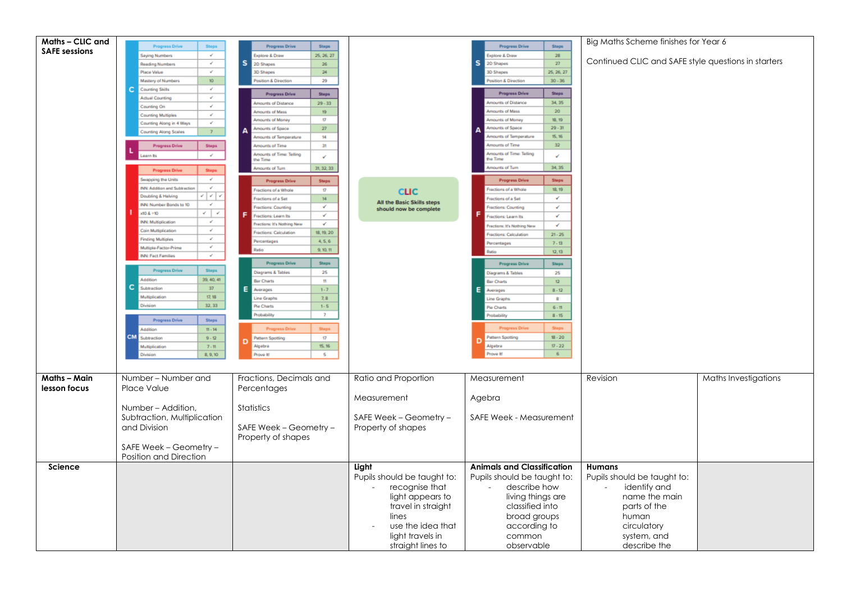| Maths - CLIC and     | <b>Progress Drive</b><br><b>Steps</b>                    | <b>Progress Drive</b><br><b>Steps</b>                               |                             | <b>Progress Drive</b><br>Steps                     | Big Maths Scheme finishes for Year 6                |                      |
|----------------------|----------------------------------------------------------|---------------------------------------------------------------------|-----------------------------|----------------------------------------------------|-----------------------------------------------------|----------------------|
| <b>SAFE sessions</b> | $\mathcal{L}_{\mathcal{A}}$<br><b>Saying Numbers</b>     | Explore & Draw<br>25, 26, 27                                        |                             | Explore & Draw<br>$28^\circ$                       |                                                     |                      |
|                      | $\mathcal{L}_{\mathcal{A}}$<br><b>Reading Numbers</b>    | s<br>2D Shapes<br>26                                                |                             | s<br>$27\,$<br>2D Shapes                           | Continued CLIC and SAFE style questions in starters |                      |
|                      | $\mathcal{L}$<br>Place Value                             | <b>3D Shapes</b><br>24 <sub>1</sub>                                 |                             | <b>3D Shapes</b><br>25, 26, 27                     |                                                     |                      |
|                      | Mastery of Numbers<br>10                                 | sition & Direction<br>29                                            |                             | $30 - 36$<br>Pasition & Direction                  |                                                     |                      |
|                      | <b>Counting Skills</b><br>$\mathcal{L}$<br>c             |                                                                     |                             | <b>Steps</b>                                       |                                                     |                      |
|                      | $\mathcal{L}$<br><b>Actual Counting</b>                  | <b>Steps</b><br><b>Progress Drive</b>                               |                             | <b>Progress Drive</b>                              |                                                     |                      |
|                      | Counting On<br>$\overline{\phantom{a}}$                  | <b>Amounts of Distance</b><br>$29 - 33$                             |                             | 34, 35<br>Amounts of Distance                      |                                                     |                      |
|                      | $\mathcal{L}_{\mathcal{A}}$<br><b>Counting Multiples</b> | 19<br>Amounts of Mass                                               |                             | $20\,$<br>Amounts of Mass                          |                                                     |                      |
|                      | Counting Along in 4 Ways<br>$\mathcal{L}$                | 17 <sup>°</sup><br>Amounts of Money                                 |                             | 18, 19<br>Amounts of Money<br>$29 - 31$            |                                                     |                      |
|                      | 7 <sup>°</sup><br><b>Counting Along Scales</b>           | 27 <sub>1</sub><br>Amounts of Space                                 |                             | tounts of Space<br>mounts of Temperature<br>15, 16 |                                                     |                      |
|                      |                                                          | Amounts of Temperature<br>14<br>Amounts of Time<br>31               |                             | Amounts of Time<br>32 <sub>1</sub>                 |                                                     |                      |
|                      | <b>Progress Drive</b><br><b>Steps</b>                    | <b>Amounts of Time: Telling</b>                                     |                             | <b>Amounts of Time: Telling</b>                    |                                                     |                      |
|                      | $\mathcal{L}_{\mathcal{A}}$<br>Learn Its                 | v<br>the Time                                                       |                             | $\mathbf{v}$<br>the Time                           |                                                     |                      |
|                      | <b>Progress Drive</b><br>Steps                           | 31, 32, 33<br><b>Amounts of Turn</b>                                |                             | sunts of Tum<br>34, 35                             |                                                     |                      |
|                      | Swapping the Units<br>$\mathcal{L}$                      |                                                                     |                             | <b>Steps</b><br><b>Progress Drive</b>              |                                                     |                      |
|                      | $\mathcal{L}$<br><b>INN: Addition and Subtraction</b>    | <b>Steps</b><br><b>Progress Drive</b>                               |                             | Fractions of a Whole                               |                                                     |                      |
|                      | Doubling & Halving<br>- ∤∤                               | Fractions of a Whole<br>$\boldsymbol{\Omega}$                       | <b>CLIC</b>                 | 18, 19<br>$\checkmark$                             |                                                     |                      |
|                      | INN: Number Bonds to 10<br>$\mathcal{L}$                 | Fractions of a Set<br>$14-1$<br>V.                                  | All the Basic Skills steps  | Fractions of a Set                                 |                                                     |                      |
|                      | $\checkmark$ ) $\checkmark$<br>$x10.8 + 10$              | <b>Fractions: Counting</b><br>v                                     | should now be complete      | Fractions: Counting<br>V                           |                                                     |                      |
|                      | <b>INN: Multiplication</b><br>$\mathcal{L}$              | Fractions: Learn Its<br>Fractions: It's Nothing New<br>$\checkmark$ |                             | V<br>ractions: Learn Its                           |                                                     |                      |
|                      | $\mathcal{L}_{\mathcal{C}}$<br>Coin Multiplication       | 18, 19, 20<br><b>Fractions: Calculation</b>                         |                             | $\checkmark$<br>Fractions: It's Nothing New        |                                                     |                      |
|                      | $\mathcal{L}_{\mathcal{C}}$<br><b>Finding Multiples</b>  | 4, 5, 6<br>Percentages                                              |                             | <b>Fractions: Calculation</b><br>$21 - 25$         |                                                     |                      |
|                      | $\mathcal{L}$<br>Multiple-Factor-Prime                   | 9, 10, 11<br>Ratio                                                  |                             | $7 - 13$<br>Percentages                            |                                                     |                      |
|                      | <b>INN: Fact Families</b><br>$\mathcal{L}$               |                                                                     |                             | 12, 13<br>Potin                                    |                                                     |                      |
|                      |                                                          | <b>Progress Drive</b><br><b>Steps</b>                               |                             | <b>Steps</b><br><b>Progress Drive</b>              |                                                     |                      |
|                      | <b>Progress Drive</b><br><b>Steps</b>                    | 25<br>Diagrams & Tables                                             |                             | Diagrams & Tables<br>25                            |                                                     |                      |
|                      | Addition<br>39, 40, 41                                   | <b>Bar Charts</b><br>11                                             |                             | 12 <sup>7</sup><br><b>Bar Charts</b>               |                                                     |                      |
|                      | с<br>Subtraction<br>37                                   | $1 - 7$<br>Е<br>Averages                                            |                             | Ε<br>$8 - 12$<br>Averages                          |                                                     |                      |
|                      | 17, 18<br>Multiplication                                 | Line Graphs<br>7,8                                                  |                             | Line Graphs<br>$\mathbf{8}$                        |                                                     |                      |
|                      | 32, 33<br>Division                                       | Pie Charts<br>$1 - 5$                                               |                             | Pie Charts<br>$6 - 11$                             |                                                     |                      |
|                      |                                                          | $\overline{z}$<br>Probability                                       |                             | Probability<br>$8 - 15$                            |                                                     |                      |
|                      | <b>Progress Drive</b><br>Steps                           |                                                                     |                             |                                                    |                                                     |                      |
|                      | Addition<br>$11 - 14$                                    | <b>Steps</b><br><b>Progress Drive</b>                               |                             | <b>Progress Driv</b>                               |                                                     |                      |
|                      | <b>CM</b> Subtraction<br>$9 - 12$                        | 17<br><b>Puttern Spotting</b><br>D                                  |                             | $18 - 20$<br><b>Pattern Spotting</b><br>n          |                                                     |                      |
|                      | Multiplication<br>$7 - 11$                               | 15, 16<br>Algebra                                                   |                             | $17 - 22$<br>Algebra<br>$6 -$                      |                                                     |                      |
|                      | 8, 9, 10<br>Division                                     | $\overline{\mathbf{5}}$<br>Prove It!                                |                             | Prove It!                                          |                                                     |                      |
|                      |                                                          |                                                                     |                             |                                                    |                                                     |                      |
| Maths - Main         | Number – Number and                                      | Fractions, Decimals and                                             | Ratio and Proportion        | Measurement                                        | Revision                                            | Maths Investigations |
| lesson focus         | Place Value                                              | Percentages                                                         |                             |                                                    |                                                     |                      |
|                      |                                                          |                                                                     |                             |                                                    |                                                     |                      |
|                      |                                                          |                                                                     | Measurement                 | Agebra                                             |                                                     |                      |
|                      | Number - Addition,                                       | Statistics                                                          |                             |                                                    |                                                     |                      |
|                      | Subtraction, Multiplication                              |                                                                     | SAFE Week - Geometry -      | SAFE Week - Measurement                            |                                                     |                      |
|                      | and Division                                             | SAFE Week - Geometry -                                              | Property of shapes          |                                                    |                                                     |                      |
|                      |                                                          | Property of shapes                                                  |                             |                                                    |                                                     |                      |
|                      | SAFE Week - Geometry -                                   |                                                                     |                             |                                                    |                                                     |                      |
|                      | Position and Direction                                   |                                                                     |                             |                                                    |                                                     |                      |
| Science              |                                                          |                                                                     | Light                       | <b>Animals and Classification</b>                  | <b>Humans</b>                                       |                      |
|                      |                                                          |                                                                     | Pupils should be taught to: | Pupils should be taught to:                        | Pupils should be taught to:                         |                      |
|                      |                                                          |                                                                     |                             | describe how                                       |                                                     |                      |
|                      |                                                          |                                                                     | recognise that              |                                                    | identify and                                        |                      |
|                      |                                                          |                                                                     | light appears to            | living things are                                  | name the main                                       |                      |
|                      |                                                          |                                                                     | travel in straight          | classified into                                    | parts of the                                        |                      |
|                      |                                                          |                                                                     | lines                       | broad groups                                       | human                                               |                      |
|                      |                                                          |                                                                     | use the idea that           | according to                                       | circulatory                                         |                      |
|                      |                                                          |                                                                     | light travels in            | common                                             | system, and                                         |                      |
|                      |                                                          |                                                                     | straight lines to           | observable                                         | describe the                                        |                      |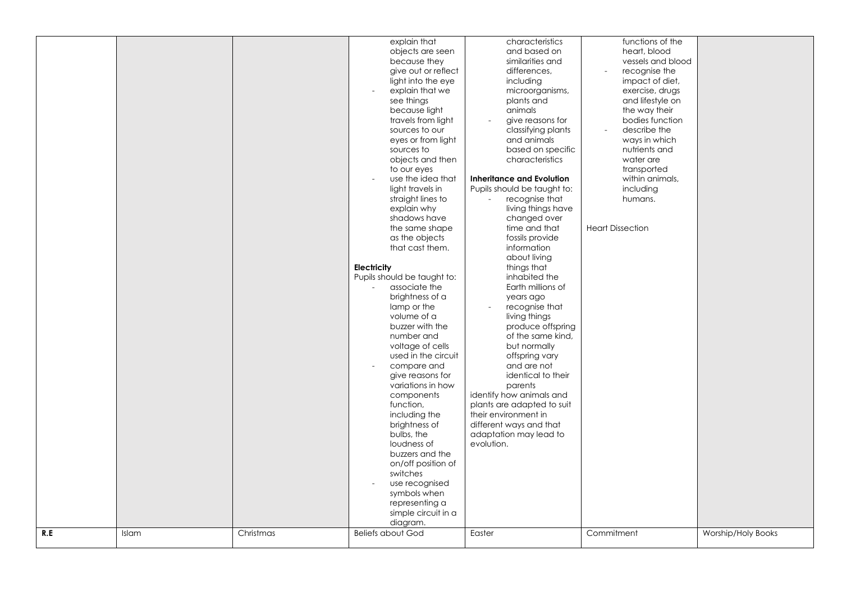|     |       |           | explain that<br>objects are seen<br>because they<br>give out or reflect<br>light into the eye<br>explain that we<br>$\overline{a}$<br>see things<br>because light<br>travels from light<br>sources to our<br>eyes or from light<br>sources to<br>objects and then<br>to our eyes<br>use the idea that<br>light travels in<br>straight lines to<br>explain why<br>shadows have<br>the same shape<br>as the objects<br>that cast them.<br><b>Electricity</b><br>Pupils should be taught to:<br>associate the<br>brightness of a<br>lamp or the<br>volume of a<br>buzzer with the<br>number and<br>voltage of cells<br>used in the circuit<br>compare and<br>$\overline{\phantom{a}}$<br>give reasons for<br>variations in how<br>components | characteristics<br>and based on<br>similarities and<br>differences,<br>including<br>microorganisms,<br>plants and<br>animals<br>give reasons for<br>classifying plants<br>and animals<br>based on specific<br>characteristics<br><b>Inheritance and Evolution</b><br>Pupils should be taught to:<br>recognise that<br>living things have<br>changed over<br>time and that<br>fossils provide<br>information<br>about living<br>things that<br>inhabited the<br>Earth millions of<br>years ago<br>recognise that<br>living things<br>produce offspring<br>of the same kind,<br>but normally<br>offspring vary<br>and are not<br>identical to their<br>parents<br>identify how animals and | functions of the<br>heart, blood<br>vessels and blood<br>recognise the<br>impact of diet,<br>exercise, drugs<br>and lifestyle on<br>the way their<br>bodies function<br>describe the<br>ways in which<br>nutrients and<br>water are<br>transported<br>within animals,<br>including<br>humans.<br><b>Heart Dissection</b> |                           |
|-----|-------|-----------|-------------------------------------------------------------------------------------------------------------------------------------------------------------------------------------------------------------------------------------------------------------------------------------------------------------------------------------------------------------------------------------------------------------------------------------------------------------------------------------------------------------------------------------------------------------------------------------------------------------------------------------------------------------------------------------------------------------------------------------------|------------------------------------------------------------------------------------------------------------------------------------------------------------------------------------------------------------------------------------------------------------------------------------------------------------------------------------------------------------------------------------------------------------------------------------------------------------------------------------------------------------------------------------------------------------------------------------------------------------------------------------------------------------------------------------------|--------------------------------------------------------------------------------------------------------------------------------------------------------------------------------------------------------------------------------------------------------------------------------------------------------------------------|---------------------------|
|     |       |           | function,<br>including the<br>brightness of<br>bulbs, the<br>loudness of<br>buzzers and the<br>on/off position of<br>switches<br>use recognised<br>$\overline{a}$<br>symbols when                                                                                                                                                                                                                                                                                                                                                                                                                                                                                                                                                         | plants are adapted to suit<br>their environment in<br>different ways and that<br>adaptation may lead to<br>evolution.                                                                                                                                                                                                                                                                                                                                                                                                                                                                                                                                                                    |                                                                                                                                                                                                                                                                                                                          |                           |
| R.E | Islam | Christmas | simple circuit in a<br>diagram.<br><b>Beliefs about God</b>                                                                                                                                                                                                                                                                                                                                                                                                                                                                                                                                                                                                                                                                               | Easter                                                                                                                                                                                                                                                                                                                                                                                                                                                                                                                                                                                                                                                                                   | Commitment                                                                                                                                                                                                                                                                                                               | <b>Worship/Holy Books</b> |
|     |       |           |                                                                                                                                                                                                                                                                                                                                                                                                                                                                                                                                                                                                                                                                                                                                           |                                                                                                                                                                                                                                                                                                                                                                                                                                                                                                                                                                                                                                                                                          |                                                                                                                                                                                                                                                                                                                          |                           |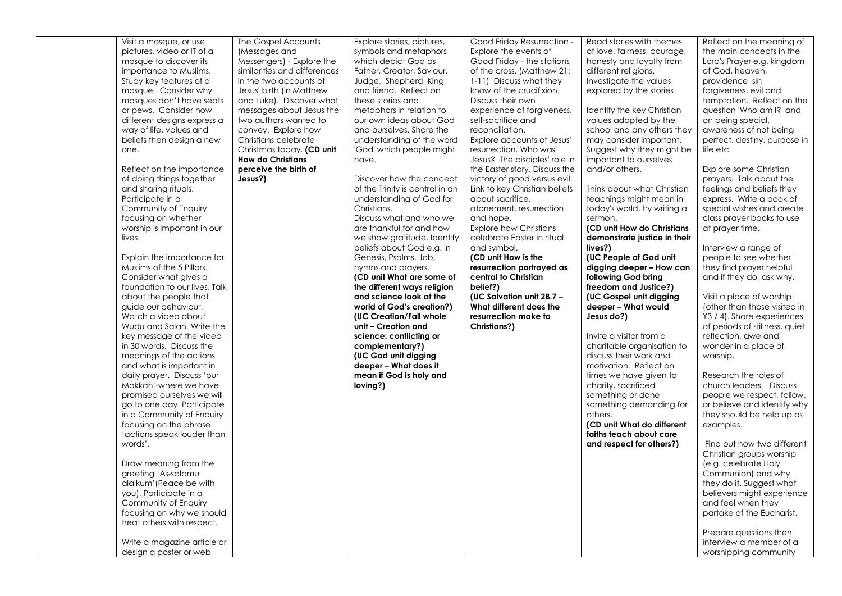| Visit a mosque, or use        | The Gospel Accounts          | Explore stories, pictures,      | Good Friday Resurrection -    | Read stories with themes     | Reflect on the meaning of      |
|-------------------------------|------------------------------|---------------------------------|-------------------------------|------------------------------|--------------------------------|
|                               |                              |                                 |                               |                              |                                |
| pictures, video or IT of a    | (Messages and                | symbols and metaphors           | Explore the events of         | of love, fairness, courage,  | the main concepts in the       |
| mosque to discover its        | Messengers) - Explore the    | which depict God as             | Good Friday - the stations    | honesty and loyalty from     | Lord's Prayer e.g. kingdom     |
| importance to Muslims.        | similarities and differences | Father, Creator, Saviour,       | of the cross. (Matthew 21:    | different religions.         | of God, heaven,                |
| Study key features of a       | in the two accounts of       | Judge, Shepherd, King           | 1-11) Discuss what they       | Investigate the values       | providence, sin                |
| mosque. Consider why          | Jesus' birth (in Matthew     | and friend. Reflect on          | know of the crucifixion.      | explored by the stories.     | forgiveness, evil and          |
| mosques don't have seats      | and Luke). Discover what     | these stories and               | Discuss their own             |                              | temptation. Reflect on the     |
| or pews. Consider how         | messages about Jesus the     | metaphors in relation to        | experience of forgiveness,    | Identify the key Christian   | question 'Who am I?' and       |
| different designs express a   | two authors wanted to        | our own ideas about God         | self-sacrifice and            | values adopted by the        | on being special,              |
| way of life, values and       | convey. Explore how          | and ourselves. Share the        | reconciliation.               | school and any others they   | awareness of not being         |
| beliefs then design a new     | Christians celebrate         | understanding of the word       | Explore accounts of Jesus'    | may consider important.      | perfect, destiny, purpose in   |
| one.                          | Christmas today. (CD unit    | 'God' which people might        | resurrection. Who was         | Suggest why they might be    | life etc.                      |
|                               | <b>How do Christians</b>     | have.                           | Jesus? The disciples' role in | important to ourselves       |                                |
| Reflect on the importance     | perceive the birth of        |                                 | the Easter story. Discuss the | and/or others.               | Explore some Christian         |
|                               | Jesus?)                      | Discover how the concept        |                               |                              |                                |
| of doing things together      |                              |                                 | victory of good versus evil.  |                              | prayers. Talk about the        |
| and sharing rituals.          |                              | of the Trinity is central in an | Link to key Christian beliefs | Think about what Christian   | feelings and beliefs they      |
| Participate in a              |                              | understanding of God for        | about sacrifice,              | teachings might mean in      | express. Write a book of       |
| Community of Enquiry          |                              | Christians.                     | atonement, resurrection       | today's world, try writing a | special wishes and create      |
| focusing on whether           |                              | Discuss what and who we         | and hope.                     | sermon.                      | class prayer books to use      |
| worship is important in our   |                              | are thankful for and how        | <b>Explore how Christians</b> | (CD unit How do Christians   | at prayer time.                |
| lives.                        |                              | we show gratitude. Identify     | celebrate Easter in ritual    | demonstrate justice in their |                                |
|                               |                              | beliefs about God e.g. in       | and symbol.                   | lives?)                      | Interview a range of           |
| Explain the importance for    |                              | Genesis, Psalms, Job,           | (CD unit How is the           | (UC People of God unit       | people to see whether          |
| Muslims of the 5 Pillars.     |                              | hymns and prayers.              | resurrection portrayed as     | digging deeper - How can     | they find prayer helpful       |
| Consider what gives a         |                              | (CD unit What are some of       | central to Christian          | following God bring          | and if they do, ask why.       |
| foundation to our lives. Talk |                              | the different ways religion     | belief?)                      | freedom and Justice?)        |                                |
| about the people that         |                              | and science look at the         | (UC Salvation unit 2B.7 -     | (UC Gospel unit digging      | Visit a place of worship       |
| guide our behaviour.          |                              | world of God's creation?)       | What different does the       | deeper - What would          | (other than those visited in   |
| Watch a video about           |                              | (UC Creation/Fall whole         | resurrection make to          | Jesus do?)                   | Y3 / 4). Share experiences     |
| Wudu and Salah, Write the     |                              | unit - Creation and             | Christians?)                  |                              | of periods of stillness, quiet |
| key message of the video      |                              | science: conflicting or         |                               | Invite a visitor from a      | reflection, awe and            |
| in 30 words. Discuss the      |                              | complementary?)                 |                               | charitable organisation to   | wonder in a place of           |
| meanings of the actions       |                              | (UC God unit digging            |                               | discuss their work and       | worship.                       |
| and what is important in      |                              | deeper - What does it           |                               | motivation. Reflect on       |                                |
| daily prayer. Discuss 'our    |                              | mean if God is holy and         |                               | times we have given to       | Research the roles of          |
|                               |                              |                                 |                               |                              |                                |
| Makkah'-where we have         |                              | loving?)                        |                               | charity, sacrificed          | church leaders. Discuss        |
| promised ourselves we will    |                              |                                 |                               | something or done            | people we respect, follow,     |
| go to one day. Participate    |                              |                                 |                               | something demanding for      | or believe and identify why    |
| in a Community of Enquiry     |                              |                                 |                               | others.                      | they should be help up as      |
| focusing on the phrase        |                              |                                 |                               | (CD unit What do different   | examples.                      |
| 'actions speak louder than    |                              |                                 |                               | faiths teach about care      |                                |
| words'.                       |                              |                                 |                               | and respect for others?)     | Find out how two different     |
|                               |                              |                                 |                               |                              | Christian groups worship       |
| Draw meaning from the         |                              |                                 |                               |                              | (e.g. celebrate Holy           |
| greeting 'As-salamu           |                              |                                 |                               |                              | Communion) and why             |
| alaikum' (Peace be with       |                              |                                 |                               |                              | they do it. Suggest what       |
| you). Participate in a        |                              |                                 |                               |                              | believers might experience     |
| Community of Enquiry          |                              |                                 |                               |                              | and feel when they             |
| focusing on why we should     |                              |                                 |                               |                              | partake of the Eucharist.      |
| treat others with respect.    |                              |                                 |                               |                              |                                |
|                               |                              |                                 |                               |                              | Prepare questions then         |
| Write a magazine article or   |                              |                                 |                               |                              | interview a member of a        |
| design a poster or web        |                              |                                 |                               |                              | worshipping community          |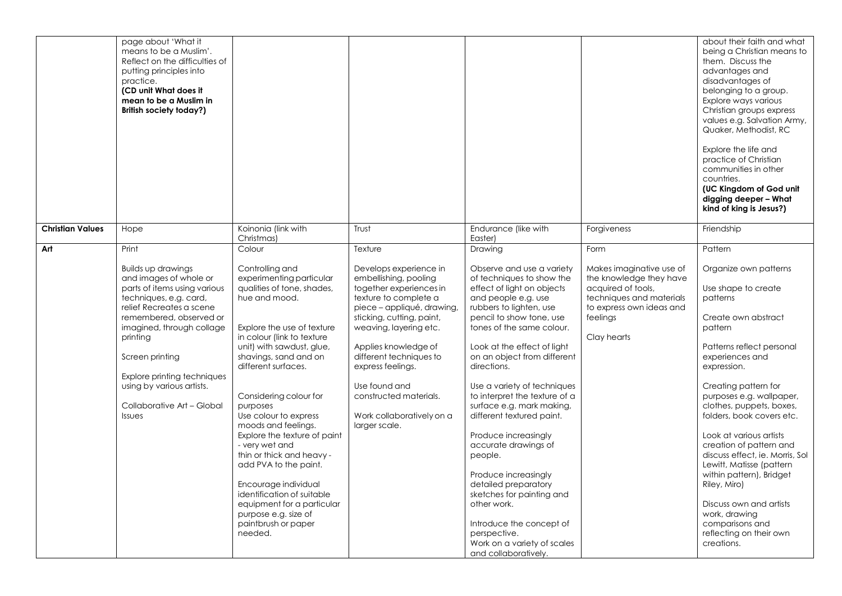|                         | page about 'What it<br>means to be a Muslim'.<br>Reflect on the difficulties of<br>putting principles into<br>practice.<br>(CD unit What does it<br>mean to be a Muslim in<br>British society today?)                                                                                                                                |                                                                                                                                                                                                                                                                                                                                                                                                                                                                                                                                                                                 |                                                                                                                                                                                                                                                                                                                                                           |                                                                                                                                                                                                                                                                                                                                                                                                                                                                                                                                                                                                                                                                  |                                                                                                                                                              | about their faith and what<br>being a Christian means to<br>them. Discuss the<br>advantages and<br>disadvantages of<br>belonging to a group.<br>Explore ways various<br>Christian groups express<br>values e.g. Salvation Army,<br>Quaker, Methodist, RC<br>Explore the life and<br>practice of Christian<br>communities in other<br>countries.<br>(UC Kingdom of God unit<br>digging deeper - What<br>kind of king is Jesus?)                                                                                                                  |
|-------------------------|--------------------------------------------------------------------------------------------------------------------------------------------------------------------------------------------------------------------------------------------------------------------------------------------------------------------------------------|---------------------------------------------------------------------------------------------------------------------------------------------------------------------------------------------------------------------------------------------------------------------------------------------------------------------------------------------------------------------------------------------------------------------------------------------------------------------------------------------------------------------------------------------------------------------------------|-----------------------------------------------------------------------------------------------------------------------------------------------------------------------------------------------------------------------------------------------------------------------------------------------------------------------------------------------------------|------------------------------------------------------------------------------------------------------------------------------------------------------------------------------------------------------------------------------------------------------------------------------------------------------------------------------------------------------------------------------------------------------------------------------------------------------------------------------------------------------------------------------------------------------------------------------------------------------------------------------------------------------------------|--------------------------------------------------------------------------------------------------------------------------------------------------------------|-------------------------------------------------------------------------------------------------------------------------------------------------------------------------------------------------------------------------------------------------------------------------------------------------------------------------------------------------------------------------------------------------------------------------------------------------------------------------------------------------------------------------------------------------|
| <b>Christian Values</b> | Hope                                                                                                                                                                                                                                                                                                                                 | Koinonia (link with<br>Christmas)                                                                                                                                                                                                                                                                                                                                                                                                                                                                                                                                               | Trust                                                                                                                                                                                                                                                                                                                                                     | Endurance (like with<br>Easter)                                                                                                                                                                                                                                                                                                                                                                                                                                                                                                                                                                                                                                  | Forgiveness                                                                                                                                                  | Friendship                                                                                                                                                                                                                                                                                                                                                                                                                                                                                                                                      |
| Art                     | Print                                                                                                                                                                                                                                                                                                                                | Colour                                                                                                                                                                                                                                                                                                                                                                                                                                                                                                                                                                          | Texture                                                                                                                                                                                                                                                                                                                                                   | Drawing                                                                                                                                                                                                                                                                                                                                                                                                                                                                                                                                                                                                                                                          | Form                                                                                                                                                         | Pattern                                                                                                                                                                                                                                                                                                                                                                                                                                                                                                                                         |
|                         | <b>Builds up drawings</b><br>and images of whole or<br>parts of items using various<br>techniques, e.g. card,<br>relief Recreates a scene<br>remembered, observed or<br>imagined, through collage<br>printing<br>Screen printing<br>Explore printing techniques<br>using by various artists.<br>Collaborative Art - Global<br>Issues | Controlling and<br>experimenting particular<br>qualities of tone, shades,<br>hue and mood.<br>Explore the use of texture<br>in colour (link to texture<br>unit) with sawdust, glue,<br>shavings, sand and on<br>different surfaces.<br>Considering colour for<br>purposes<br>Use colour to express<br>moods and feelings.<br>Explore the texture of paint<br>- very wet and<br>thin or thick and heavy -<br>add PVA to the paint.<br>Encourage individual<br>identification of suitable<br>equipment for a particular<br>purpose e.g. size of<br>paintbrush or paper<br>needed. | Develops experience in<br>embellishing, pooling<br>together experiences in<br>texture to complete a<br>piece - appliqué, drawing,<br>sticking, cutting, paint,<br>weaving, layering etc.<br>Applies knowledge of<br>different techniques to<br>express feelings.<br>Use found and<br>constructed materials.<br>Work collaboratively on a<br>larger scale. | Observe and use a variety<br>of techniques to show the<br>effect of light on objects<br>and people e.g. use<br>rubbers to lighten, use<br>pencil to show tone, use<br>tones of the same colour.<br>Look at the effect of light<br>on an object from different<br>directions.<br>Use a variety of techniques<br>to interpret the texture of a<br>surface e.g. mark making,<br>different textured paint.<br>Produce increasingly<br>accurate drawings of<br>people.<br>Produce increasingly<br>detailed preparatory<br>sketches for painting and<br>other work.<br>Introduce the concept of<br>perspective.<br>Work on a variety of scales<br>and collaboratively. | Makes imaginative use of<br>the knowledge they have<br>acquired of tools,<br>techniques and materials<br>to express own ideas and<br>feelings<br>Clay hearts | Organize own patterns<br>Use shape to create<br>patterns<br>Create own abstract<br>pattern<br>Patterns reflect personal<br>experiences and<br>expression.<br>Creating pattern for<br>purposes e.g. wallpaper,<br>clothes, puppets, boxes,<br>folders, book covers etc.<br>Look at various artists<br>creation of pattern and<br>discuss effect, ie. Morris, Sol<br>Lewitt, Matisse (pattern<br>within pattern), Bridget<br>Riley, Miro)<br>Discuss own and artists<br>work, drawing<br>comparisons and<br>reflecting on their own<br>creations. |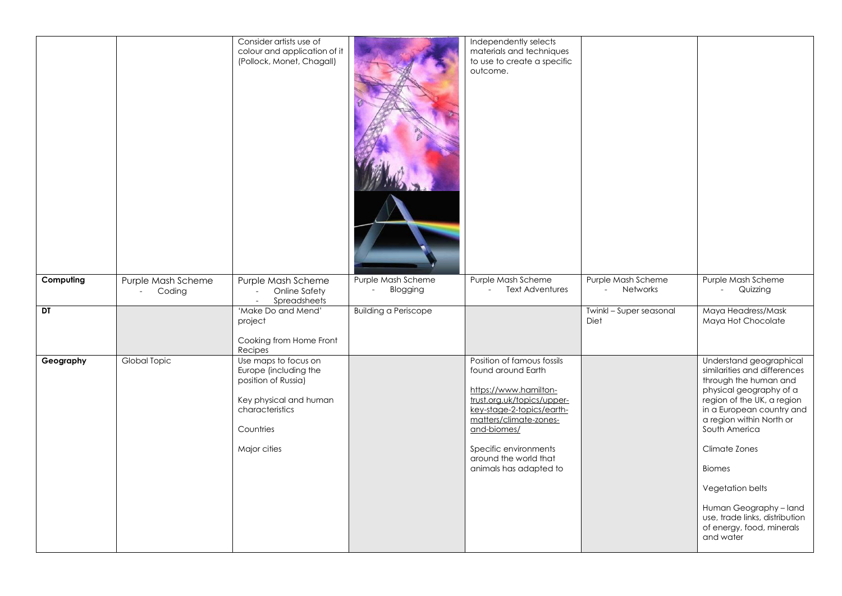|           |                                                             | Consider artists use of<br>colour and application of it<br>(Pollock, Monet, Chagall)                                                           |                                | Independently selects<br>materials and techniques<br>to use to create a specific<br>outcome.                                                                                                                                                              |                                                  |                                                                                                                                                                                                                                                                                                                                                                                 |
|-----------|-------------------------------------------------------------|------------------------------------------------------------------------------------------------------------------------------------------------|--------------------------------|-----------------------------------------------------------------------------------------------------------------------------------------------------------------------------------------------------------------------------------------------------------|--------------------------------------------------|---------------------------------------------------------------------------------------------------------------------------------------------------------------------------------------------------------------------------------------------------------------------------------------------------------------------------------------------------------------------------------|
| Computing | Purple Mash Scheme<br>Coding<br>$\mathcal{L}_{\mathcal{A}}$ | Purple Mash Scheme<br>Online Safety<br>$\mathcal{L}$<br>Spreadsheets<br>$\sim$                                                                 | Purple Mash Scheme<br>Blogging | Purple Mash Scheme<br><b>Text Adventures</b><br>$\sim$                                                                                                                                                                                                    | Purple Mash Scheme<br>Networks<br>$\sim$ $^{-1}$ | Purple Mash Scheme<br>Quizzing<br>$\omega_{\rm{max}}$                                                                                                                                                                                                                                                                                                                           |
| DT        |                                                             | 'Make Do and Mend'<br>project<br>Cooking from Home Front<br>Recipes                                                                            | <b>Building a Periscope</b>    |                                                                                                                                                                                                                                                           | Twinkl - Super seasonal<br>Diet                  | Maya Headress/Mask<br>Maya Hot Chocolate                                                                                                                                                                                                                                                                                                                                        |
| Geography | Global Topic                                                | Use maps to focus on<br>Europe (including the<br>position of Russia)<br>Key physical and human<br>characteristics<br>Countries<br>Major cities |                                | Position of famous fossils<br>found around Earth<br>https://www.hamilton-<br>trust.org.uk/topics/upper-<br>key-stage-2-topics/earth-<br>matters/climate-zones-<br>and-biomes/<br>Specific environments<br>around the world that<br>animals has adapted to |                                                  | Understand geographical<br>similarities and differences<br>through the human and<br>physical geography of a<br>region of the UK, a region<br>in a European country and<br>a region within North or<br>South America<br>Climate Zones<br><b>Biomes</b><br>Vegetation belts<br>Human Geography - land<br>use, trade links, distribution<br>of energy, food, minerals<br>and water |